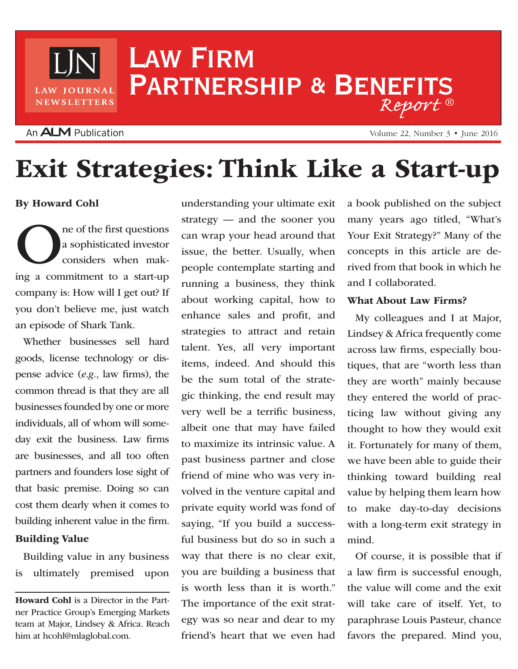# Law Firm PARTNERSHIP & BENEFITS *Report* ®

## An **ALM** Publication

LAW JOURNAL NEWSLETTERS

Volume 22, Number 3 • June 2016

# Exit Strategies: Think Like a Start-up

By Howard Cohl

ne of the first questions<br>a sophisticated investor<br>considers when making a commitment to a start up a sophisticated investor considers when making a commitment to a start-up company is: How will I get out? If you don't believe me, just watch an episode of Shark Tank.

Whether businesses sell hard goods, license technology or dispense advice (*e.g.*, law firms), the common thread is that they are all businesses founded by one or more individuals, all of whom will someday exit the business. Law firms are businesses, and all too often partners and founders lose sight of that basic premise. Doing so can cost them dearly when it comes to building inherent value in the firm.

#### Building Value

Building value in any business is ultimately premised upon understanding your ultimate exit strategy — and the sooner you can wrap your head around that issue, the better. Usually, when people contemplate starting and running a business, they think about working capital, how to enhance sales and profit, and strategies to attract and retain talent. Yes, all very important items, indeed. And should this be the sum total of the strategic thinking, the end result may very well be a terrific business, albeit one that may have failed to maximize its intrinsic value. A past business partner and close friend of mine who was very involved in the venture capital and private equity world was fond of saying, "If you build a successful business but do so in such a way that there is no clear exit, you are building a business that is worth less than it is worth." The importance of the exit strategy was so near and dear to my friend's heart that we even had

a book published on the subject many years ago titled, "What's Your Exit Strategy?" Many of the concepts in this article are derived from that book in which he and I collaborated.

#### What About Law Firms?

My colleagues and I at Major, Lindsey & Africa frequently come across law firms, especially boutiques, that are "worth less than they are worth" mainly because they entered the world of practicing law without giving any thought to how they would exit it. Fortunately for many of them, we have been able to guide their thinking toward building real value by helping them learn how to make day-to-day decisions with a long-term exit strategy in mind.

Of course, it is possible that if a law firm is successful enough, the value will come and the exit will take care of itself. Yet, to paraphrase Louis Pasteur, chance favors the prepared. Mind you,

Howard Cohl is a Director in the Partner Practice Group's Emerging Markets team at Major, Lindsey & Africa. Reach him at hcohl@mlaglobal.com.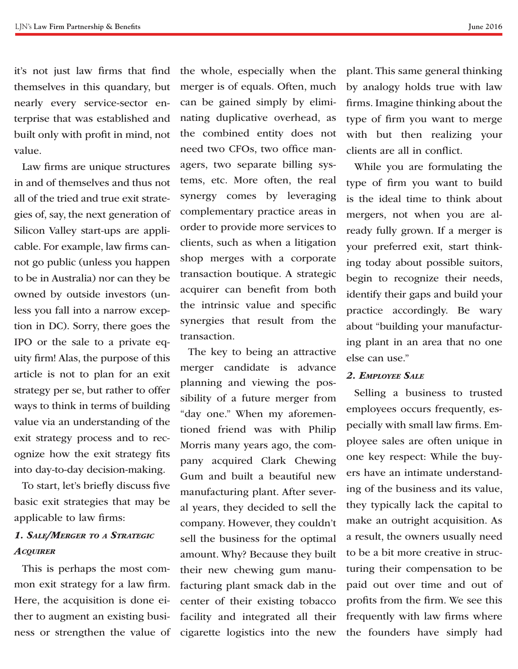it's not just law firms that find themselves in this quandary, but nearly every service-sector enterprise that was established and built only with profit in mind, not value.

Law firms are unique structures in and of themselves and thus not all of the tried and true exit strategies of, say, the next generation of Silicon Valley start-ups are applicable. For example, law firms cannot go public (unless you happen to be in Australia) nor can they be owned by outside investors (unless you fall into a narrow exception in DC). Sorry, there goes the IPO or the sale to a private equity firm! Alas, the purpose of this article is not to plan for an exit strategy per se, but rather to offer ways to think in terms of building value via an understanding of the exit strategy process and to recognize how the exit strategy fits into day-to-day decision-making.

To start, let's briefly discuss five basic exit strategies that may be applicable to law firms:

### *1. Sale/Merger to a Strategic Acquirer*

This is perhaps the most common exit strategy for a law firm. Here, the acquisition is done either to augment an existing business or strengthen the value of the whole, especially when the merger is of equals. Often, much can be gained simply by eliminating duplicative overhead, as the combined entity does not need two CFOs, two office managers, two separate billing systems, etc. More often, the real synergy comes by leveraging complementary practice areas in order to provide more services to clients, such as when a litigation shop merges with a corporate transaction boutique. A strategic acquirer can benefit from both the intrinsic value and specific synergies that result from the transaction.

The key to being an attractive merger candidate is advance planning and viewing the possibility of a future merger from "day one." When my aforementioned friend was with Philip Morris many years ago, the company acquired Clark Chewing Gum and built a beautiful new manufacturing plant. After several years, they decided to sell the company. However, they couldn't sell the business for the optimal amount. Why? Because they built their new chewing gum manufacturing plant smack dab in the center of their existing tobacco facility and integrated all their cigarette logistics into the new plant. This same general thinking by analogy holds true with law firms. Imagine thinking about the type of firm you want to merge with but then realizing your clients are all in conflict.

While you are formulating the type of firm you want to build is the ideal time to think about mergers, not when you are already fully grown. If a merger is your preferred exit, start thinking today about possible suitors, begin to recognize their needs, identify their gaps and build your practice accordingly. Be wary about "building your manufacturing plant in an area that no one else can use."

#### *2. Employee Sale*

Selling a business to trusted employees occurs frequently, especially with small law firms. Employee sales are often unique in one key respect: While the buyers have an intimate understanding of the business and its value, they typically lack the capital to make an outright acquisition. As a result, the owners usually need to be a bit more creative in structuring their compensation to be paid out over time and out of profits from the firm. We see this frequently with law firms where the founders have simply had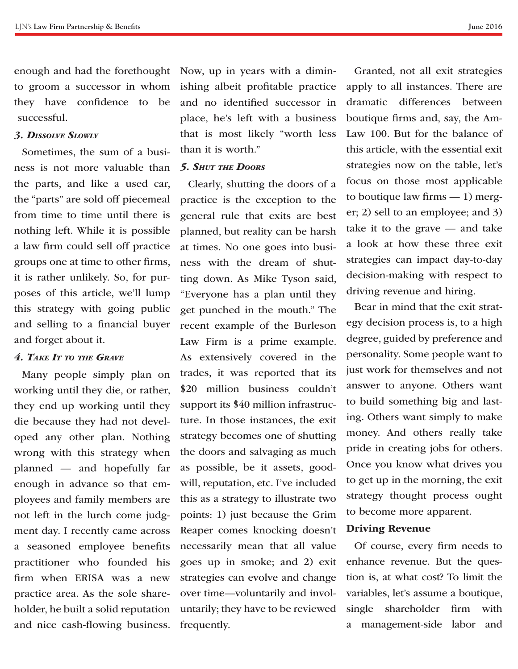to groom a successor in whom they have confidence to be successful.

#### *3. Dissolve Slowly*

Sometimes, the sum of a business is not more valuable than the parts, and like a used car, the "parts" are sold off piecemeal from time to time until there is nothing left. While it is possible a law firm could sell off practice groups one at time to other firms, it is rather unlikely. So, for purposes of this article, we'll lump this strategy with going public and selling to a financial buyer and forget about it.

#### *4. Take It to the Grave*

Many people simply plan on working until they die, or rather, they end up working until they die because they had not developed any other plan. Nothing wrong with this strategy when planned — and hopefully far enough in advance so that employees and family members are not left in the lurch come judgment day. I recently came across a seasoned employee benefits practitioner who founded his firm when ERISA was a new practice area. As the sole shareholder, he built a solid reputation and nice cash-flowing business.

enough and had the forethought Now, up in years with a diminishing albeit profitable practice and no identified successor in place, he's left with a business that is most likely "worth less than it is worth."

#### *5. Shut the Doors*

Clearly, shutting the doors of a practice is the exception to the general rule that exits are best planned, but reality can be harsh at times. No one goes into business with the dream of shutting down. As Mike Tyson said, "Everyone has a plan until they get punched in the mouth." The recent example of the Burleson Law Firm is a prime example. As extensively covered in the trades, it was reported that its \$20 million business couldn't support its \$40 million infrastructure. In those instances, the exit strategy becomes one of shutting the doors and salvaging as much as possible, be it assets, goodwill, reputation, etc. I've included this as a strategy to illustrate two points: 1) just because the Grim Reaper comes knocking doesn't necessarily mean that all value goes up in smoke; and 2) exit strategies can evolve and change over time—voluntarily and involuntarily; they have to be reviewed frequently.

Granted, not all exit strategies apply to all instances. There are dramatic differences between boutique firms and, say, the Am-Law 100. But for the balance of this article, with the essential exit strategies now on the table, let's focus on those most applicable to boutique law firms  $-1$ ) merger; 2) sell to an employee; and 3) take it to the grave — and take a look at how these three exit strategies can impact day-to-day decision-making with respect to driving revenue and hiring.

Bear in mind that the exit strategy decision process is, to a high degree, guided by preference and personality. Some people want to just work for themselves and not answer to anyone. Others want to build something big and lasting. Others want simply to make money. And others really take pride in creating jobs for others. Once you know what drives you to get up in the morning, the exit strategy thought process ought to become more apparent.

#### Driving Revenue

Of course, every firm needs to enhance revenue. But the question is, at what cost? To limit the variables, let's assume a boutique, single shareholder firm with a management-side labor and